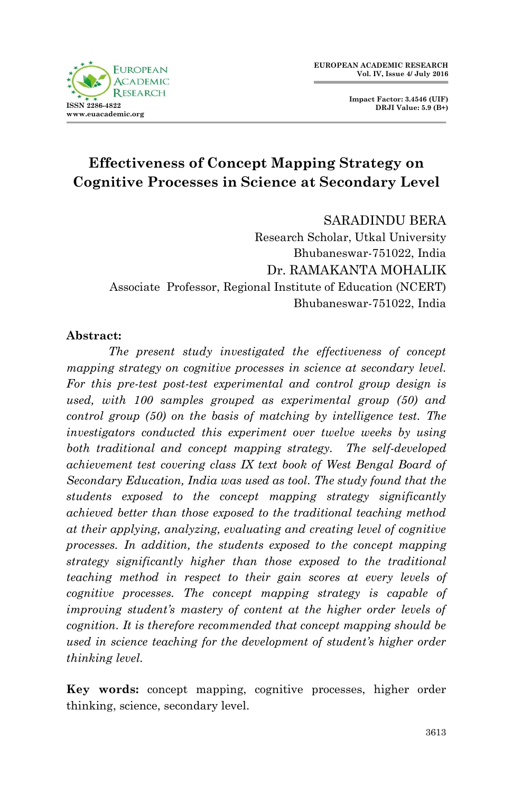

**Impact Factor: 3.4546 (UIF) DRJI Value: 5.9 (B+)**

# **Effectiveness of Concept Mapping Strategy on Cognitive Processes in Science at Secondary Level**

SARADINDU BERA

Research Scholar, Utkal University Bhubaneswar-751022, India Dr. RAMAKANTA MOHALIK Associate Professor, Regional Institute of Education (NCERT) Bhubaneswar-751022, India

#### **Abstract:**

*The present study investigated the effectiveness of concept mapping strategy on cognitive processes in science at secondary level. For this pre-test post-test experimental and control group design is used, with 100 samples grouped as experimental group (50) and control group (50) on the basis of matching by intelligence test. The investigators conducted this experiment over twelve weeks by using both traditional and concept mapping strategy. The self-developed achievement test covering class IX text book of West Bengal Board of Secondary Education, India was used as tool. The study found that the students exposed to the concept mapping strategy significantly achieved better than those exposed to the traditional teaching method at their applying, analyzing, evaluating and creating level of cognitive processes. In addition, the students exposed to the concept mapping strategy significantly higher than those exposed to the traditional teaching method in respect to their gain scores at every levels of cognitive processes. The concept mapping strategy is capable of improving student's mastery of content at the higher order levels of cognition. It is therefore recommended that concept mapping should be used in science teaching for the development of student's higher order thinking level.* 

**Key words:** concept mapping, cognitive processes, higher order thinking, science, secondary level.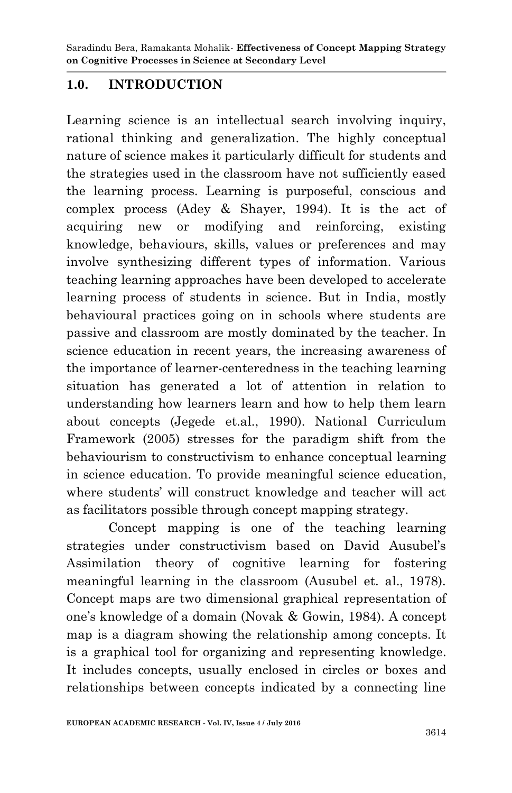## **1.0. INTRODUCTION**

Learning science is an intellectual search involving inquiry, rational thinking and generalization. The highly conceptual nature of science makes it particularly difficult for students and the strategies used in the classroom have not sufficiently eased the learning process. Learning is purposeful, conscious and complex process (Adey & Shayer, 1994). It is the act of acquiring new or modifying and reinforcing, existing knowledge, behaviours, skills, values or preferences and may involve synthesizing different types of information. Various teaching learning approaches have been developed to accelerate learning process of students in science. But in India, mostly behavioural practices going on in schools where students are passive and classroom are mostly dominated by the teacher. In science education in recent years, the increasing awareness of the importance of learner-centeredness in the teaching learning situation has generated a lot of attention in relation to understanding how learners learn and how to help them learn about concepts (Jegede et.al., 1990). National Curriculum Framework (2005) stresses for the paradigm shift from the behaviourism to constructivism to enhance conceptual learning in science education. To provide meaningful science education, where students' will construct knowledge and teacher will act as facilitators possible through concept mapping strategy.

Concept mapping is one of the teaching learning strategies under constructivism based on David Ausubel's Assimilation theory of cognitive learning for fostering meaningful learning in the classroom (Ausubel et. al., 1978). Concept maps are two dimensional graphical representation of one's knowledge of a domain (Novak & Gowin, 1984). A concept map is a diagram showing the relationship among concepts. It is a graphical tool for organizing and representing knowledge. It includes concepts, usually enclosed in circles or boxes and relationships between concepts indicated by a connecting line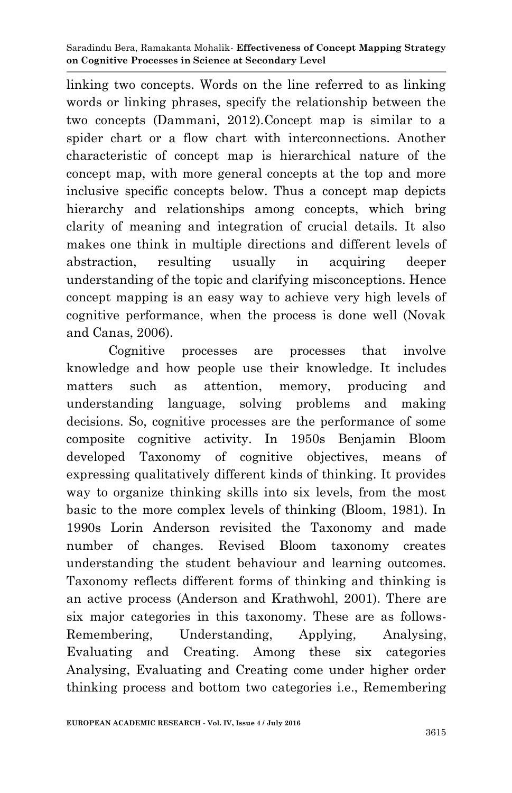linking two concepts. Words on the line referred to as linking words or linking phrases, specify the relationship between the two concepts (Dammani, 2012).Concept map is similar to a spider chart or a flow chart with interconnections. Another characteristic of concept map is hierarchical nature of the concept map, with more general concepts at the top and more inclusive specific concepts below. Thus a concept map depicts hierarchy and relationships among concepts, which bring clarity of meaning and integration of crucial details. It also makes one think in multiple directions and different levels of abstraction, resulting usually in acquiring deeper understanding of the topic and clarifying misconceptions. Hence concept mapping is an easy way to achieve very high levels of cognitive performance, when the process is done well (Novak and Canas, 2006).

Cognitive processes are processes that involve knowledge and how people use their knowledge. It includes matters such as attention, memory, producing and understanding language, solving problems and making decisions. So, cognitive processes are the performance of some composite cognitive activity. In 1950s Benjamin Bloom developed Taxonomy of cognitive objectives, means of expressing qualitatively different kinds of thinking. It provides way to organize thinking skills into six levels, from the most basic to the more complex levels of thinking (Bloom, 1981). In 1990s Lorin Anderson revisited the Taxonomy and made number of changes. Revised Bloom taxonomy creates understanding the student behaviour and learning outcomes. Taxonomy reflects different forms of thinking and thinking is an active process (Anderson and Krathwohl, 2001). There are six major categories in this taxonomy. These are as follows-Remembering, Understanding, Applying, Analysing, Evaluating and Creating. Among these six categories Analysing, Evaluating and Creating come under higher order thinking process and bottom two categories i.e., Remembering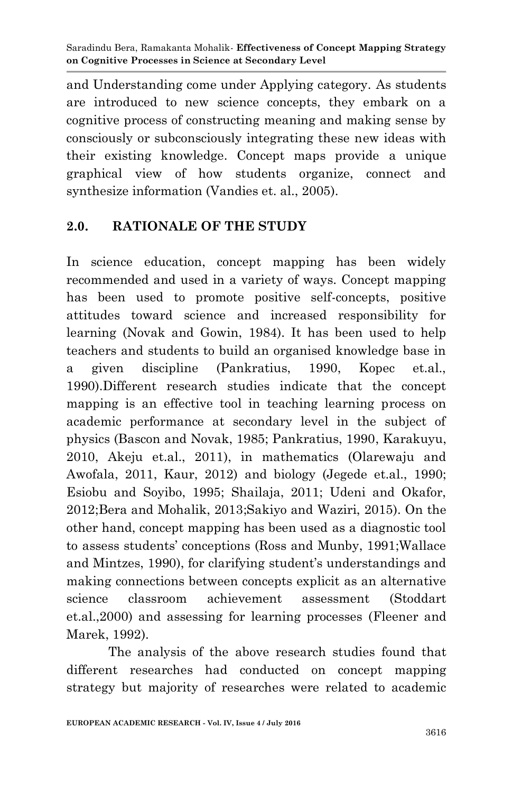and Understanding come under Applying category. As students are introduced to new science concepts, they embark on a cognitive process of constructing meaning and making sense by consciously or subconsciously integrating these new ideas with their existing knowledge. Concept maps provide a unique graphical view of how students organize, connect and synthesize information (Vandies et. al., 2005).

### **2.0. RATIONALE OF THE STUDY**

In science education, concept mapping has been widely recommended and used in a variety of ways. Concept mapping has been used to promote positive self-concepts, positive attitudes toward science and increased responsibility for learning (Novak and Gowin, 1984). It has been used to help teachers and students to build an organised knowledge base in a given discipline (Pankratius, 1990, Kopec et.al., 1990).Different research studies indicate that the concept mapping is an effective tool in teaching learning process on academic performance at secondary level in the subject of physics (Bascon and Novak, 1985; Pankratius, 1990, Karakuyu, 2010, Akeju et.al., 2011), in mathematics (Olarewaju and Awofala, 2011, Kaur, 2012) and biology (Jegede et.al., 1990; Esiobu and Soyibo, 1995; Shailaja, 2011; Udeni and Okafor, 2012;Bera and Mohalik, 2013;Sakiyo and Waziri, 2015). On the other hand, concept mapping has been used as a diagnostic tool to assess students' conceptions (Ross and Munby, 1991;Wallace and Mintzes, 1990), for clarifying student's understandings and making connections between concepts explicit as an alternative science classroom achievement assessment (Stoddart et.al.,2000) and assessing for learning processes (Fleener and Marek, 1992).

The analysis of the above research studies found that different researches had conducted on concept mapping strategy but majority of researches were related to academic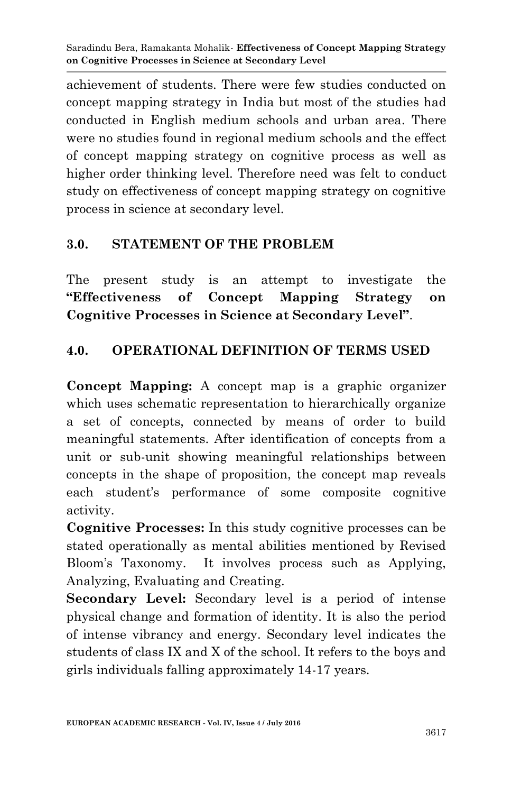achievement of students. There were few studies conducted on concept mapping strategy in India but most of the studies had conducted in English medium schools and urban area. There were no studies found in regional medium schools and the effect of concept mapping strategy on cognitive process as well as higher order thinking level. Therefore need was felt to conduct study on effectiveness of concept mapping strategy on cognitive process in science at secondary level.

## **3.0. STATEMENT OF THE PROBLEM**

The present study is an attempt to investigate the **"Effectiveness of Concept Mapping Strategy on Cognitive Processes in Science at Secondary Level"**.

## **4.0. OPERATIONAL DEFINITION OF TERMS USED**

**Concept Mapping:** A concept map is a graphic organizer which uses schematic representation to hierarchically organize a set of concepts, connected by means of order to build meaningful statements. After identification of concepts from a unit or sub-unit showing meaningful relationships between concepts in the shape of proposition, the concept map reveals each student's performance of some composite cognitive activity.

**Cognitive Processes:** In this study cognitive processes can be stated operationally as mental abilities mentioned by Revised Bloom's Taxonomy. It involves process such as Applying, Analyzing, Evaluating and Creating.

**Secondary Level:** Secondary level is a period of intense physical change and formation of identity. It is also the period of intense vibrancy and energy. Secondary level indicates the students of class IX and X of the school. It refers to the boys and girls individuals falling approximately 14-17 years.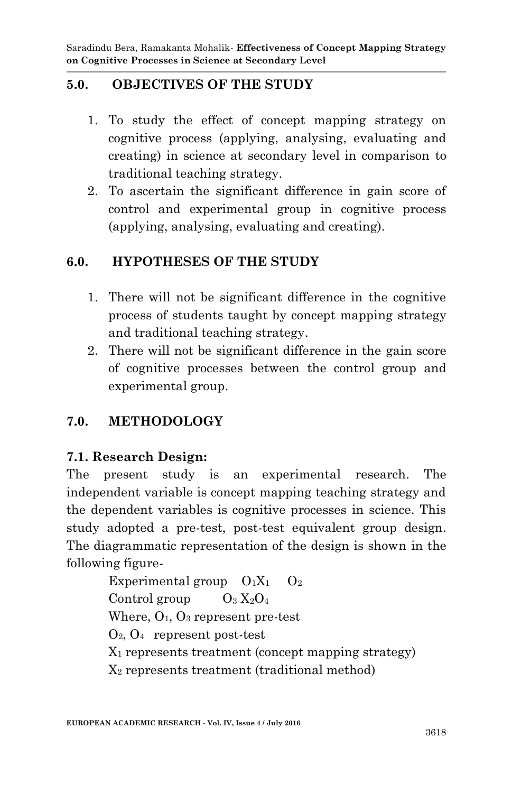## **5.0. OBJECTIVES OF THE STUDY**

- 1. To study the effect of concept mapping strategy on cognitive process (applying, analysing, evaluating and creating) in science at secondary level in comparison to traditional teaching strategy.
- 2. To ascertain the significant difference in gain score of control and experimental group in cognitive process (applying, analysing, evaluating and creating).

### **6.0. HYPOTHESES OF THE STUDY**

- 1. There will not be significant difference in the cognitive process of students taught by concept mapping strategy and traditional teaching strategy.
- 2. There will not be significant difference in the gain score of cognitive processes between the control group and experimental group.

### **7.0. METHODOLOGY**

### **7.1. Research Design:**

The present study is an experimental research. The independent variable is concept mapping teaching strategy and the dependent variables is cognitive processes in science. This study adopted a pre-test, post-test equivalent group design. The diagrammatic representation of the design is shown in the following figure-

> Experimental group  $O_1X_1$   $O_2$ Control group  $O_3 X_2 O_4$ Where,  $O_1$ ,  $O_3$  represent pre-test O2, O<sup>4</sup> represent post-test X<sup>1</sup> represents treatment (concept mapping strategy) X<sup>2</sup> represents treatment (traditional method)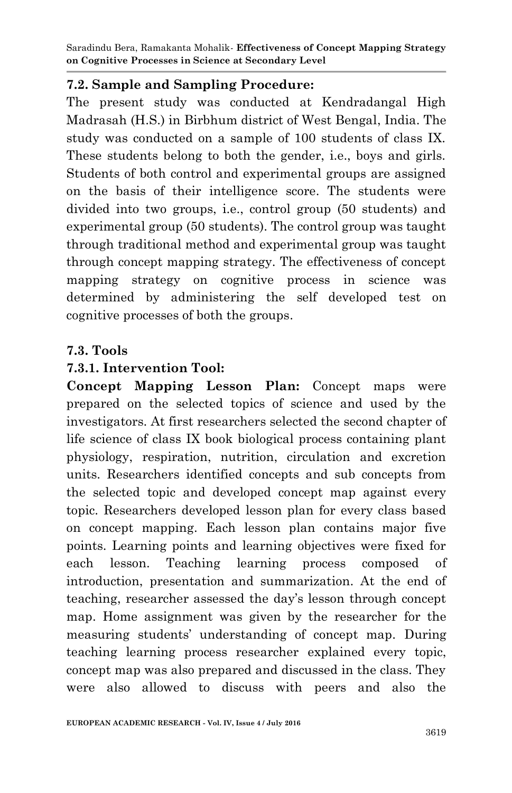#### **7.2. Sample and Sampling Procedure:**

The present study was conducted at Kendradangal High Madrasah (H.S.) in Birbhum district of West Bengal, India. The study was conducted on a sample of 100 students of class IX. These students belong to both the gender, i.e., boys and girls. Students of both control and experimental groups are assigned on the basis of their intelligence score. The students were divided into two groups, i.e., control group (50 students) and experimental group (50 students). The control group was taught through traditional method and experimental group was taught through concept mapping strategy. The effectiveness of concept mapping strategy on cognitive process in science was determined by administering the self developed test on cognitive processes of both the groups.

#### **7.3. Tools**

#### **7.3.1. Intervention Tool:**

**Concept Mapping Lesson Plan:** Concept maps were prepared on the selected topics of science and used by the investigators. At first researchers selected the second chapter of life science of class IX book biological process containing plant physiology, respiration, nutrition, circulation and excretion units. Researchers identified concepts and sub concepts from the selected topic and developed concept map against every topic. Researchers developed lesson plan for every class based on concept mapping. Each lesson plan contains major five points. Learning points and learning objectives were fixed for each lesson. Teaching learning process composed of introduction, presentation and summarization. At the end of teaching, researcher assessed the day's lesson through concept map. Home assignment was given by the researcher for the measuring students' understanding of concept map. During teaching learning process researcher explained every topic, concept map was also prepared and discussed in the class. They were also allowed to discuss with peers and also the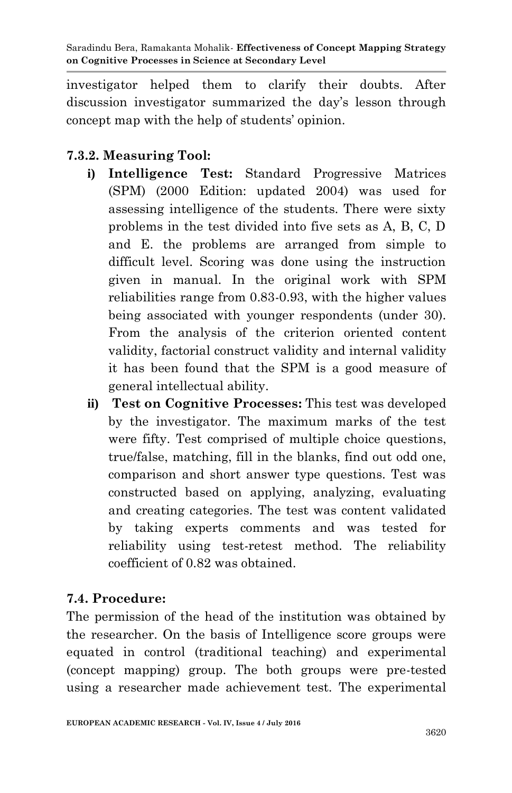investigator helped them to clarify their doubts. After discussion investigator summarized the day's lesson through concept map with the help of students' opinion.

## **7.3.2. Measuring Tool:**

- **i) Intelligence Test:** Standard Progressive Matrices (SPM) (2000 Edition: updated 2004) was used for assessing intelligence of the students. There were sixty problems in the test divided into five sets as A, B, C, D and E. the problems are arranged from simple to difficult level. Scoring was done using the instruction given in manual. In the original work with SPM reliabilities range from 0.83-0.93, with the higher values being associated with younger respondents (under 30). From the analysis of the criterion oriented content validity, factorial construct validity and internal validity it has been found that the SPM is a good measure of general intellectual ability.
- **ii) Test on Cognitive Processes:** This test was developed by the investigator. The maximum marks of the test were fifty. Test comprised of multiple choice questions, true/false, matching, fill in the blanks, find out odd one, comparison and short answer type questions. Test was constructed based on applying, analyzing, evaluating and creating categories. The test was content validated by taking experts comments and was tested for reliability using test-retest method. The reliability coefficient of 0.82 was obtained.

## **7.4. Procedure:**

The permission of the head of the institution was obtained by the researcher. On the basis of Intelligence score groups were equated in control (traditional teaching) and experimental (concept mapping) group. The both groups were pre-tested using a researcher made achievement test. The experimental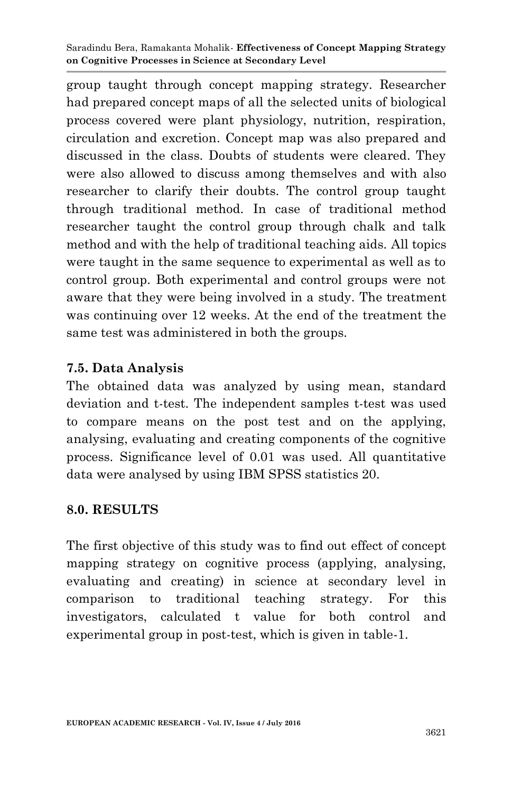group taught through concept mapping strategy. Researcher had prepared concept maps of all the selected units of biological process covered were plant physiology, nutrition, respiration, circulation and excretion. Concept map was also prepared and discussed in the class. Doubts of students were cleared. They were also allowed to discuss among themselves and with also researcher to clarify their doubts. The control group taught through traditional method. In case of traditional method researcher taught the control group through chalk and talk method and with the help of traditional teaching aids. All topics were taught in the same sequence to experimental as well as to control group. Both experimental and control groups were not aware that they were being involved in a study. The treatment was continuing over 12 weeks. At the end of the treatment the same test was administered in both the groups.

### **7.5. Data Analysis**

The obtained data was analyzed by using mean, standard deviation and t-test. The independent samples t-test was used to compare means on the post test and on the applying, analysing, evaluating and creating components of the cognitive process. Significance level of 0.01 was used. All quantitative data were analysed by using IBM SPSS statistics 20.

#### **8.0. RESULTS**

The first objective of this study was to find out effect of concept mapping strategy on cognitive process (applying, analysing, evaluating and creating) in science at secondary level in comparison to traditional teaching strategy. For this investigators, calculated t value for both control and experimental group in post-test, which is given in table-1.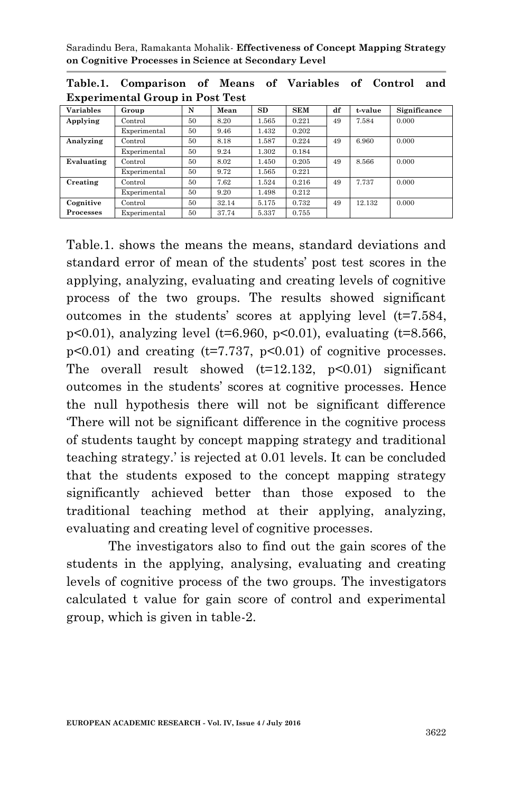| Table.1. Comparison of Means of Variables of Control and |  |  |  |  |  |
|----------------------------------------------------------|--|--|--|--|--|
| <b>Experimental Group in Post Test</b>                   |  |  |  |  |  |

| <b>Variables</b> | Group        | N  | Mean  | SD    | <b>SEM</b> | df | t-value | Significance |
|------------------|--------------|----|-------|-------|------------|----|---------|--------------|
| Applying         | Control      | 50 | 8.20  | 1.565 | 0.221      | 49 | 7.584   | 0.000        |
|                  | Experimental | 50 | 9.46  | 1.432 | 0.202      |    |         |              |
| Analyzing        | Control      | 50 | 8.18  | 1.587 | 0.224      | 49 | 6.960   | 0.000        |
|                  | Experimental | 50 | 9.24  | 1.302 | 0.184      |    |         |              |
| Evaluating       | Control      | 50 | 8.02  | 1.450 | 0.205      | 49 | 8.566   | 0.000        |
|                  | Experimental | 50 | 9.72  | 1.565 | 0.221      |    |         |              |
| Creating         | Control      | 50 | 7.62  | 1.524 | 0.216      | 49 | 7.737   | 0.000        |
|                  | Experimental | 50 | 9.20  | 1.498 | 0.212      |    |         |              |
| Cognitive        | Control      | 50 | 32.14 | 5.175 | 0.732      | 49 | 12.132  | 0.000        |
| Processes        | Experimental | 50 | 37.74 | 5.337 | 0.755      |    |         |              |

Table.1. shows the means the means, standard deviations and standard error of mean of the students' post test scores in the applying, analyzing, evaluating and creating levels of cognitive process of the two groups. The results showed significant outcomes in the students' scores at applying level  $(t=7.584,$ p<0.01), analyzing level (t=6.960, p<0.01), evaluating (t=8.566,  $p<0.01$ ) and creating ( $t=7.737$ ,  $p<0.01$ ) of cognitive processes. The overall result showed  $(t=12.132, p<0.01)$  significant outcomes in the students' scores at cognitive processes. Hence the null hypothesis there will not be significant difference 'There will not be significant difference in the cognitive process of students taught by concept mapping strategy and traditional teaching strategy.' is rejected at 0.01 levels. It can be concluded that the students exposed to the concept mapping strategy significantly achieved better than those exposed to the traditional teaching method at their applying, analyzing, evaluating and creating level of cognitive processes.

The investigators also to find out the gain scores of the students in the applying, analysing, evaluating and creating levels of cognitive process of the two groups. The investigators calculated t value for gain score of control and experimental group, which is given in table-2.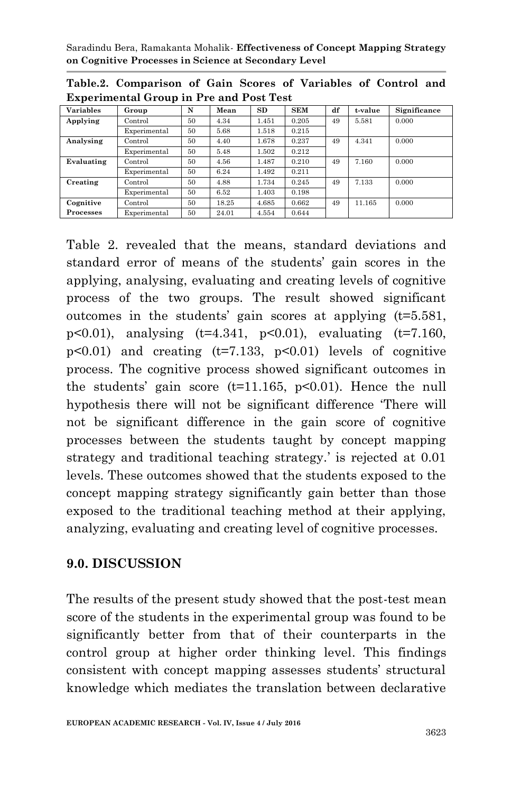| <b>Variables</b> | Group        | N  | Mean  | SD    | <b>SEM</b> | df | t-value | Significance |  |
|------------------|--------------|----|-------|-------|------------|----|---------|--------------|--|
| Applying         | Control      | 50 | 4.34  | 1.451 | 0.205      | 49 | 5.581   | 0.000        |  |
|                  | Experimental | 50 | 5.68  | 1.518 | 0.215      |    |         |              |  |
| Analysing        | Control      | 50 | 4.40  | 1.678 | 0.237      | 49 | 4.341   | 0.000        |  |
|                  | Experimental | 50 | 5.48  | 1.502 | 0.212      |    |         |              |  |
| Evaluating       | Control      | 50 | 4.56  | 1.487 | 0.210      | 49 | 7.160   | 0.000        |  |
|                  | Experimental | 50 | 6.24  | 1.492 | 0.211      |    |         |              |  |
| Creating         | Control      | 50 | 4.88  | 1.734 | 0.245      | 49 | 7.133   | 0.000        |  |
|                  | Experimental | 50 | 6.52  | 1.403 | 0.198      |    |         |              |  |
| Cognitive        | Control      | 50 | 18.25 | 4.685 | 0.662      | 49 | 11.165  | 0.000        |  |
| Processes        | Experimental | 50 | 24.01 | 4.554 | 0.644      |    |         |              |  |

**Table.2. Comparison of Gain Scores of Variables of Control and Experimental Group in Pre and Post Test**

Table 2. revealed that the means, standard deviations and standard error of means of the students' gain scores in the applying, analysing, evaluating and creating levels of cognitive process of the two groups. The result showed significant outcomes in the students' gain scores at applying (t=5.581, p<0.01), analysing  $(t=4.341, p<0.01)$ , evaluating  $(t=7.160,$  $p<0.01$ ) and creating  $(t=7.133, p<0.01)$  levels of cognitive process. The cognitive process showed significant outcomes in the students' gain score  $(t=11.165, p<0.01)$ . Hence the null hypothesis there will not be significant difference 'There will not be significant difference in the gain score of cognitive processes between the students taught by concept mapping strategy and traditional teaching strategy.' is rejected at 0.01 levels. These outcomes showed that the students exposed to the concept mapping strategy significantly gain better than those exposed to the traditional teaching method at their applying, analyzing, evaluating and creating level of cognitive processes.

#### **9.0. DISCUSSION**

The results of the present study showed that the post-test mean score of the students in the experimental group was found to be significantly better from that of their counterparts in the control group at higher order thinking level. This findings consistent with concept mapping assesses students' structural knowledge which mediates the translation between declarative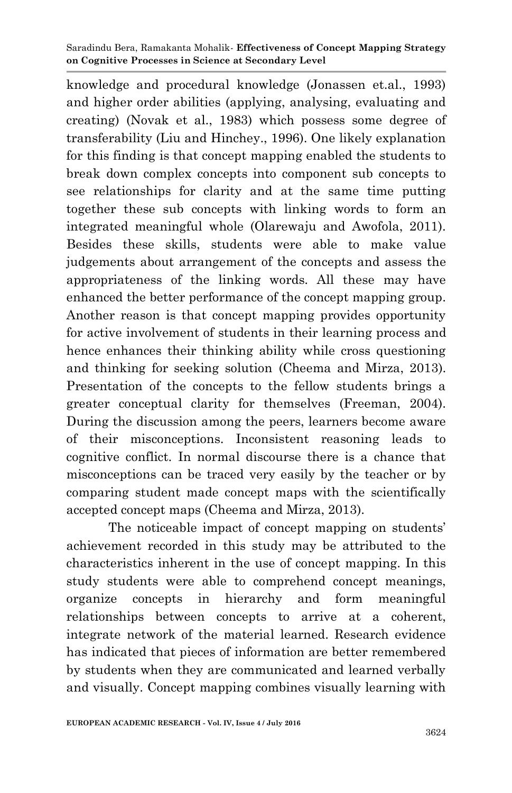knowledge and procedural knowledge (Jonassen et.al., 1993) and higher order abilities (applying, analysing, evaluating and creating) (Novak et al., 1983) which possess some degree of transferability (Liu and Hinchey., 1996). One likely explanation for this finding is that concept mapping enabled the students to break down complex concepts into component sub concepts to see relationships for clarity and at the same time putting together these sub concepts with linking words to form an integrated meaningful whole (Olarewaju and Awofola, 2011). Besides these skills, students were able to make value judgements about arrangement of the concepts and assess the appropriateness of the linking words. All these may have enhanced the better performance of the concept mapping group. Another reason is that concept mapping provides opportunity for active involvement of students in their learning process and hence enhances their thinking ability while cross questioning and thinking for seeking solution (Cheema and Mirza, 2013). Presentation of the concepts to the fellow students brings a greater conceptual clarity for themselves (Freeman, 2004). During the discussion among the peers, learners become aware of their misconceptions. Inconsistent reasoning leads to cognitive conflict. In normal discourse there is a chance that misconceptions can be traced very easily by the teacher or by comparing student made concept maps with the scientifically accepted concept maps (Cheema and Mirza, 2013).

The noticeable impact of concept mapping on students' achievement recorded in this study may be attributed to the characteristics inherent in the use of concept mapping. In this study students were able to comprehend concept meanings, organize concepts in hierarchy and form meaningful relationships between concepts to arrive at a coherent, integrate network of the material learned. Research evidence has indicated that pieces of information are better remembered by students when they are communicated and learned verbally and visually. Concept mapping combines visually learning with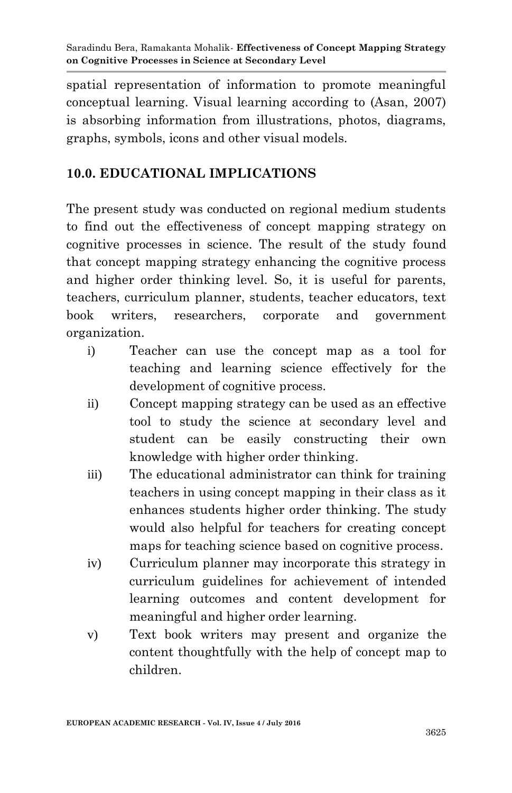spatial representation of information to promote meaningful conceptual learning. Visual learning according to (Asan, 2007) is absorbing information from illustrations, photos, diagrams, graphs, symbols, icons and other visual models.

## **10.0. EDUCATIONAL IMPLICATIONS**

The present study was conducted on regional medium students to find out the effectiveness of concept mapping strategy on cognitive processes in science. The result of the study found that concept mapping strategy enhancing the cognitive process and higher order thinking level. So, it is useful for parents, teachers, curriculum planner, students, teacher educators, text book writers, researchers, corporate and government organization.

- i) Teacher can use the concept map as a tool for teaching and learning science effectively for the development of cognitive process.
- ii) Concept mapping strategy can be used as an effective tool to study the science at secondary level and student can be easily constructing their own knowledge with higher order thinking.
- iii) The educational administrator can think for training teachers in using concept mapping in their class as it enhances students higher order thinking. The study would also helpful for teachers for creating concept maps for teaching science based on cognitive process.
- iv) Curriculum planner may incorporate this strategy in curriculum guidelines for achievement of intended learning outcomes and content development for meaningful and higher order learning.
- v) Text book writers may present and organize the content thoughtfully with the help of concept map to children.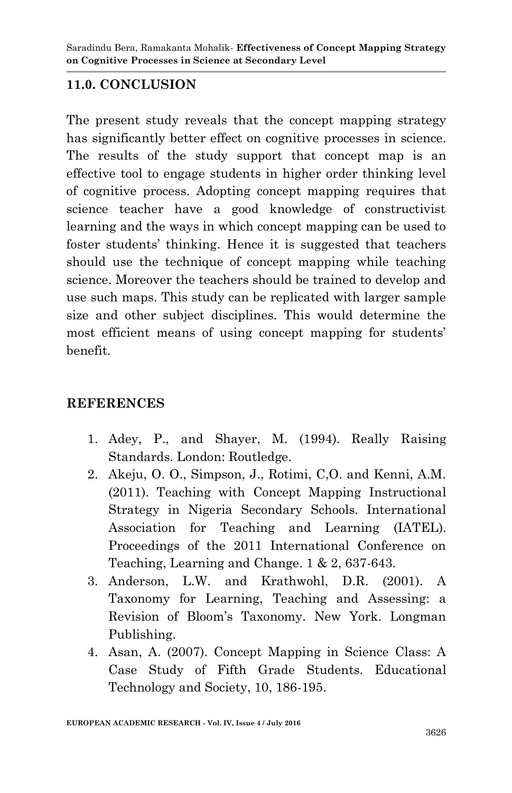## **11.0. CONCLUSION**

The present study reveals that the concept mapping strategy has significantly better effect on cognitive processes in science. The results of the study support that concept map is an effective tool to engage students in higher order thinking level of cognitive process. Adopting concept mapping requires that science teacher have a good knowledge of constructivist learning and the ways in which concept mapping can be used to foster students' thinking. Hence it is suggested that teachers should use the technique of concept mapping while teaching science. Moreover the teachers should be trained to develop and use such maps. This study can be replicated with larger sample size and other subject disciplines. This would determine the most efficient means of using concept mapping for students' benefit.

### **REFERENCES**

- 1. Adey, P., and Shayer, M. (1994). Really Raising Standards. London: Routledge.
- 2. Akeju, O. O., Simpson, J., Rotimi, C,O. and Kenni, A.M. (2011). Teaching with Concept Mapping Instructional Strategy in Nigeria Secondary Schools. International Association for Teaching and Learning (IATEL). Proceedings of the 2011 International Conference on Teaching, Learning and Change. 1 & 2, 637-643.
- 3. Anderson, L.W. and Krathwohl, D.R. (2001). A Taxonomy for Learning, Teaching and Assessing: a Revision of Bloom's Taxonomy. New York. Longman Publishing.
- 4. Asan, A. (2007). Concept Mapping in Science Class: A Case Study of Fifth Grade Students. Educational Technology and Society, 10, 186-195.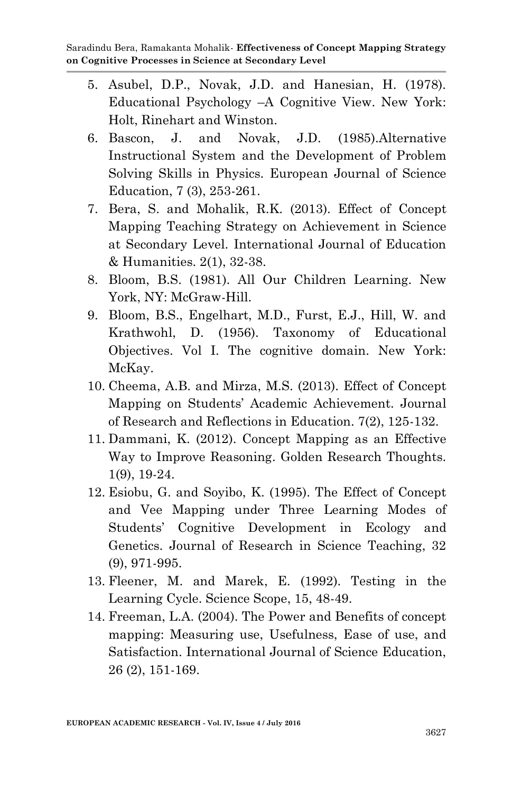- 5. Asubel, D.P., Novak, J.D. and Hanesian, H. (1978). Educational Psychology –A Cognitive View. New York: Holt, Rinehart and Winston.
- 6. Bascon, J. and Novak, J.D. (1985).Alternative Instructional System and the Development of Problem Solving Skills in Physics. European Journal of Science Education, 7 (3), 253-261.
- 7. Bera, S. and Mohalik, R.K. (2013). Effect of Concept Mapping Teaching Strategy on Achievement in Science at Secondary Level. International Journal of Education & Humanities. 2(1), 32-38.
- 8. Bloom, B.S. (1981). All Our Children Learning. New York, NY: McGraw-Hill.
- 9. Bloom, B.S., Engelhart, M.D., Furst, E.J., Hill, W. and Krathwohl, D. (1956). Taxonomy of Educational Objectives. Vol I. The cognitive domain. New York: McKay.
- 10. Cheema, A.B. and Mirza, M.S. (2013). Effect of Concept Mapping on Students' Academic Achievement. Journal of Research and Reflections in Education. 7(2), 125-132.
- 11. Dammani, K. (2012). Concept Mapping as an Effective Way to Improve Reasoning. Golden Research Thoughts. 1(9), 19-24.
- 12. Esiobu, G. and Soyibo, K. (1995). The Effect of Concept and Vee Mapping under Three Learning Modes of Students' Cognitive Development in Ecology and Genetics. Journal of Research in Science Teaching, 32 (9), 971-995.
- 13. Fleener, M. and Marek, E. (1992). Testing in the Learning Cycle. Science Scope, 15, 48-49.
- 14. Freeman, L.A. (2004). The Power and Benefits of concept mapping: Measuring use, Usefulness, Ease of use, and Satisfaction. International Journal of Science Education, 26 (2), 151-169.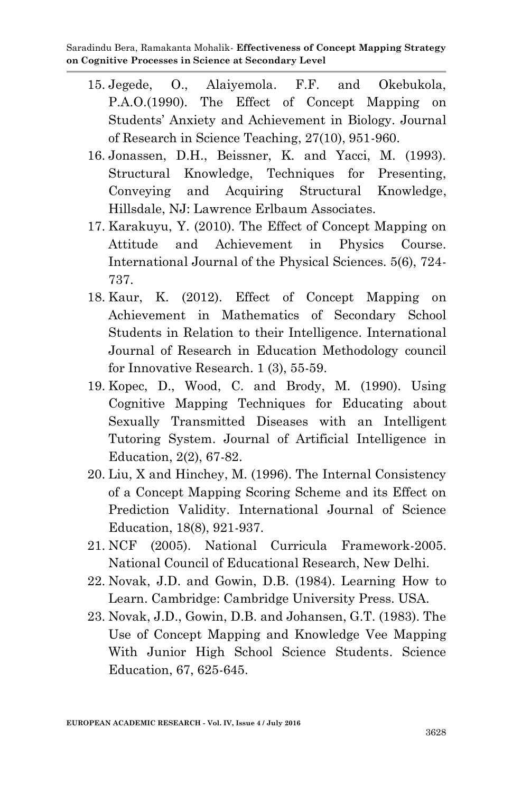- 15. Jegede, O., Alaiyemola. F.F. and Okebukola, P.A.O.(1990). The Effect of Concept Mapping on Students' Anxiety and Achievement in Biology. Journal of Research in Science Teaching, 27(10), 951-960.
- 16. Jonassen, D.H., Beissner, K. and Yacci, M. (1993). Structural Knowledge, Techniques for Presenting, Conveying and Acquiring Structural Knowledge, Hillsdale, NJ: Lawrence Erlbaum Associates.
- 17. Karakuyu, Y. (2010). The Effect of Concept Mapping on Attitude and Achievement in Physics Course. International Journal of the Physical Sciences. 5(6), 724- 737.
- 18. Kaur, K. (2012). Effect of Concept Mapping on Achievement in Mathematics of Secondary School Students in Relation to their Intelligence. International Journal of Research in Education Methodology council for Innovative Research. 1 (3), 55-59.
- 19. Kopec, D., Wood, C. and Brody, M. (1990). Using Cognitive Mapping Techniques for Educating about Sexually Transmitted Diseases with an Intelligent Tutoring System. Journal of Artificial Intelligence in Education, 2(2), 67-82.
- 20. Liu, X and Hinchey, M. (1996). The Internal Consistency of a Concept Mapping Scoring Scheme and its Effect on Prediction Validity. International Journal of Science Education, 18(8), 921-937.
- 21. NCF (2005). National Curricula Framework-2005. National Council of Educational Research, New Delhi.
- 22. Novak, J.D. and Gowin, D.B. (1984). Learning How to Learn. Cambridge: Cambridge University Press. USA.
- 23. Novak, J.D., Gowin, D.B. and Johansen, G.T. (1983). The Use of Concept Mapping and Knowledge Vee Mapping With Junior High School Science Students. Science Education, 67, 625-645.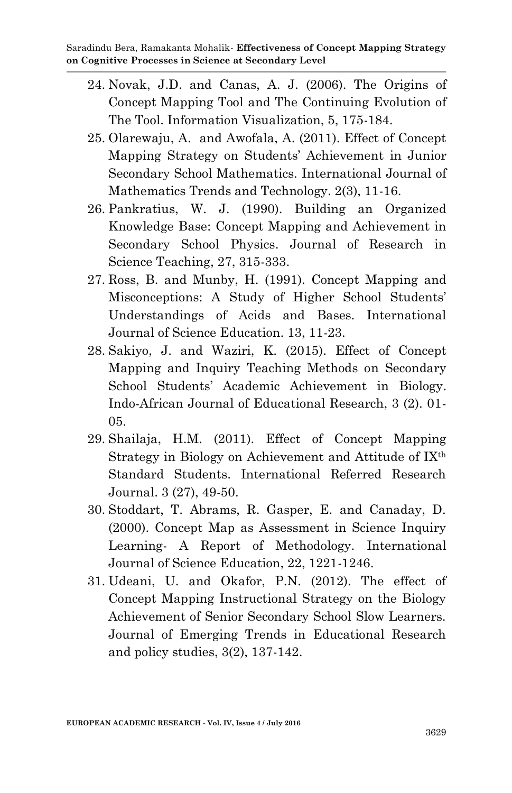- 24. Novak, J.D. and Canas, A. J. (2006). The Origins of Concept Mapping Tool and The Continuing Evolution of The Tool. Information Visualization, 5, 175-184.
- 25. Olarewaju, A. and Awofala, A. (2011). Effect of Concept Mapping Strategy on Students' Achievement in Junior Secondary School Mathematics. International Journal of Mathematics Trends and Technology. 2(3), 11-16.
- 26. Pankratius, W. J. (1990). Building an Organized Knowledge Base: Concept Mapping and Achievement in Secondary School Physics. Journal of Research in Science Teaching, 27, 315-333.
- 27. Ross, B. and Munby, H. (1991). Concept Mapping and Misconceptions: A Study of Higher School Students' Understandings of Acids and Bases. International Journal of Science Education. 13, 11-23.
- 28. Sakiyo, J. and Waziri, K. (2015). Effect of Concept Mapping and Inquiry Teaching Methods on Secondary School Students' Academic Achievement in Biology. Indo-African Journal of Educational Research, 3 (2). 01- 05.
- 29. Shailaja, H.M. (2011). Effect of Concept Mapping Strategy in Biology on Achievement and Attitude of IX<sup>th</sup> Standard Students. International Referred Research Journal. 3 (27), 49-50.
- 30. Stoddart, T. Abrams, R. Gasper, E. and Canaday, D. (2000). Concept Map as Assessment in Science Inquiry Learning- A Report of Methodology. International Journal of Science Education, 22, 1221-1246.
- 31. Udeani, U. and Okafor, P.N. (2012). The effect of Concept Mapping Instructional Strategy on the Biology Achievement of Senior Secondary School Slow Learners. Journal of Emerging Trends in Educational Research and policy studies, 3(2), 137-142.